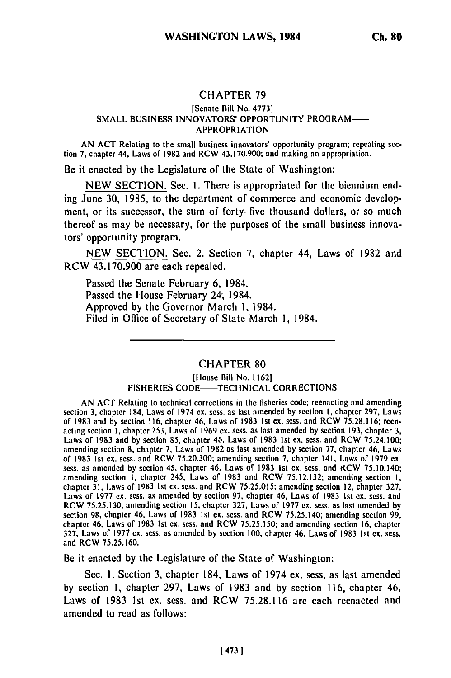# CHAPTER **79**

### [Senate Bill No. 47731 SMALL BUSINESS INNOVATORS' OPPORTUNITY PROGRAM-APPROPRIATION

AN ACT Relating to the small business innovators' opportunity program; repealing section 7, chapter 44, Laws of 1982 and RCW 43.170.900; and making an appropriation.

Be it enacted **by** the Legislature of the State of Washington:

NEW SECTION. Sec. I. There is appropriated for the biennium ending June 30, 1985, to the department of commerce and economic development, or its successor, the sum of forty-five thousand dollars, or so much thereof as may be necessary, for the purposes of the small business innovators' opportunity program.

NEW SECTION. Sec. 2. Section 7, chapter 44, Laws of 1982 and RCW 43.170.900 are each repealed.

Passed the Senate February **6,** 1984. Passed the House February 24; 1984. Approved by the Governor March **1,** 1984. Filed in Office of Secretary of State March 1, 1984.

## CHAPTER 80

#### [House Bill No. 1162] FISHERIES CODE-TECHNICAL CORRECTIONS

AN ACT Relating to technical corrections in the fisheries code; reenacting and amending section 3, chapter 184, Laws of 1974 ex. sess. as last amended by section I, chapter 297, Laws of 1983 and by section 116, chapter 46, Laws of **1983** Ist **ex.** sess. and RCW 75.28.116; reenacting section **1,** chapter 253, Laws **of** 1969 ex. sess. as last amended by section 193, chapter 3, Laws of 1983 and **by** section **85,** chapter 4S. Laws of 1983 Ist ex. sess. and RCW 75.24.100; amending section **8,** chapter **7,** Laws of 1982 as last amended by section **77,** chapter 46, Laws of 1983 Ist ex. sess. and RCW 75.20.300; amending section 7, chapter 141, Lrtws of 1979 **ex.** sess. as amended by section 45, chapter 46, Laws of 1983 Ist ex. sess. and KCW 75.10.140; amending section I, chapter 245, Laws of 1983 and RCW 75.12.132; amending section I, chapter 31, Laws **of 1983 1st** ex. sess. and RCW 75.25.015; amending section 12, chapter 327, Laws of 1977 ex. sess. as amended by section 97, chapter 46, Laws of 1983 Ist **ex.** sess. and RCW 75.25.130; amending section **15,** chapter 327, Laws of 1977 ex. sess. as last amended by section **98,** chapter 46, Laws **of 1983** 1st ex. sess. and RCW 75.25.140; amending section 99, section 98, chapter 46, Laws of 1983 1st ex. sess. and RCW 75.25.140; amending section 99, chapter<br>chapter 46, Laws of 1983 1st ex. sess. and RCW 75.25.150; and amending section 16, chapter 327, Laws of 1977 **ex.** sess. as amended by section 100, chapter 46, Laws of 1983 1st **ex.** sess. and RCW 75.25.160.

Be it enacted by the Legislature of the State of Washington:

Sec. **1.** Section 3, chapter 184, Laws of 1974 **ex.** sess. as last amended by section **1,** chapter 297, Laws of 1983 and by section 116, chapter 46, Laws of 1983 1st **ex.** sess. and RCW 75.28.116 are each reenacted and amended to read as follows: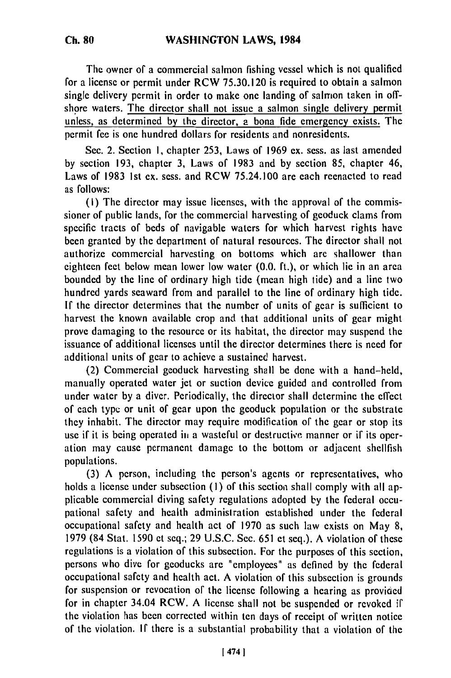The owner of a commercial salmon fishing vessel which is not qualified for a license or permit under RCW 75.30.120 is required to obtain a salmon single delivery permit in order to make one landing of salmon taken in offshore waters. The director shall not issue a salmon single delivery permit unless, as determined by the director, a bona fide emergency exists. The permit fee is one hundred dollars for residents and nonresidents.

Sec. 2. Section **1,** chapter 253, Laws of 1969 ex. sess. as last amended by section 193, chapter 3, Laws of 1983 and by section **85,** chapter 46, Laws of 1983 ist ex. sess. and RCW 75.24.100 are each reenacted to read as follows:

(i) The director may issue licenses, with the approval of the commissioner of public lands, for the commercial harvesting of geoduck clams from specific tracts of beds of navigable waters for which harvest rights have been granted by the department of natural resources. The director shall not authorize commercial harvesting on bottoms which are shallower than eighteen feet below mean lower low water (0.0. ft.), or which lie in an area bounded by the line of ordinary high tide (mean high tide) and a line two hundred yards seaward from and parallel to the line of ordinary high tide. If the director determines that the number of units of gear is sufficient to harvest the known available crop and that additional units of gear might prove damaging to the resource or its habitat, the director may suspend the issuance of additional licenses until the director determines there is need for additional units of gear to achieve a sustained harvest.

(2) Commercial geoduck harvesting shall be done with a hand-held, manually operated water jet or suction device guided and controlled from under water by a diver. Periodically, the director shall determine the effect of each type or unit of gear upon the geoduck population or the substrate they inhabit. The director may require modification of the gear or stop its use if it is being operated **iii** a wasteful or destructive manner or if its operation may cause permanent damage to the bottom or adjacent shellfish populations.

(3) A person, including the person's agents or representatives, who holds a license under subsection (1) of this section shall comply with all applicable commercial diving safety regulations adopted by the federal occupational safety and health administration established under the federal occupational safety and health act of 1970 as such law exists on May 8, 1979 (84 Stat. 1590 et seq.; 29 U.S.C. Sec. 651 et seq.). A violation of these regulations is a violation of this subsection. For the purposes of this section, persons who dive for geoducks are "employees" as defined by the federal occupational safety and health act. A violation of this subsection is grounds for suspension or revocation of the license following a hearing as provided for in chapter 34.04 RCW. A license shall not be suspended or revoked if the violation has been corrected within ten days of receipt of written notice of the violation. If there is a substantial probability that a violation of the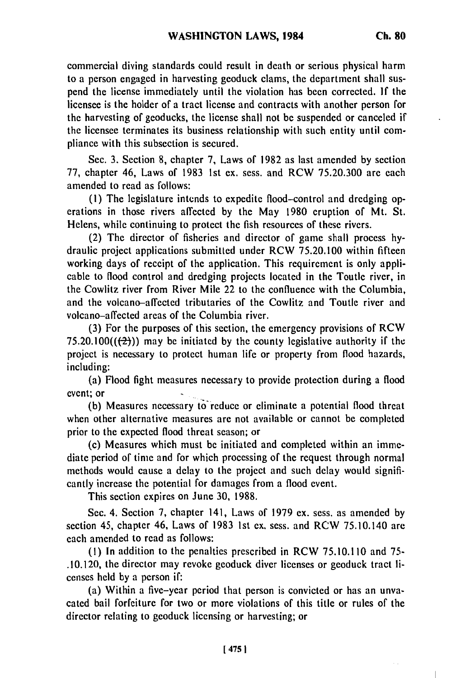commercial diving standards could result in death or serious physical harm to a person engaged in harvesting geoduck clams, the department shall suspend the license immediately until the violation has been corrected. If the licensee is the holder of a tract license and contracts with another person for the harvesting of geoducks, the license shall not be suspended or canceled if the licensee terminates its business relationship with such entity until compliance with this subsection is secured.

Sec. 3. Section 8, chapter 7, Laws of 1982 as last amended by section 77, chapter 46, Laws of 1983 ist ex. sess. and RCW 75.20.300 are each amended to read as follows:

(I) The legislature intends to expedite flood-control and dredging operations in those rivers affected by the May 1980 eruption of Mt. St. Helens, while continuing to protect the fish resources of these rivers.

(2) The director of fisheries and director of game shall process hydraulic project applications submitted under RCW 75.20.100 within fifteen working days of receipt of the application. This requirement is only applicable to flood control and dredging projects located in the Toutle river, in the Cowlitz river from River Mile 22 to the confluence with the Columbia, and the volcano-affected tributaries of the Cowlitz and Toutle river and volcano-affected areas of the Columbia river.

(3) For the purposes of this section, the emergency provisions of RCW 75.20.100 $((2))$  may be initiated by the county legislative authority if the project is necessary to protect human life or property from flood hazards, including:

(a) Flood fight measures necessary to provide protection during a flood event; or

(b) Measures necessary to reduce or eliminate a potential flood threat when other alternative measures are not available or cannot be completed prior to the expected flood threat season; or

(c) Measures which must be initiated and completed within an immediate period of time and for which processing of the request through normal methods would cause a delay to the project and such delay would significantly increase the potential for damages from a flood event.

This section expires on June 30, 1988.

Sec. 4. Section 7, chapter 141, Laws of 1979 ex. sess. as amended by section 45, chapter 46, Laws of 1983 1st ex. sess. and RCW 75.10.140 are each amended to read as follows:

(I) In addition to the penalties prescribed in RCW 75.10.110 and 75- .10.120, the director may revoke geoduck diver licenses or geoduck tract licenses held by a person if:

(a) Within a five-year period that person is convicted or has an unvacated bail forfeiture for two or more violations of this title or rules of the director relating to geoduck licensing or harvesting; or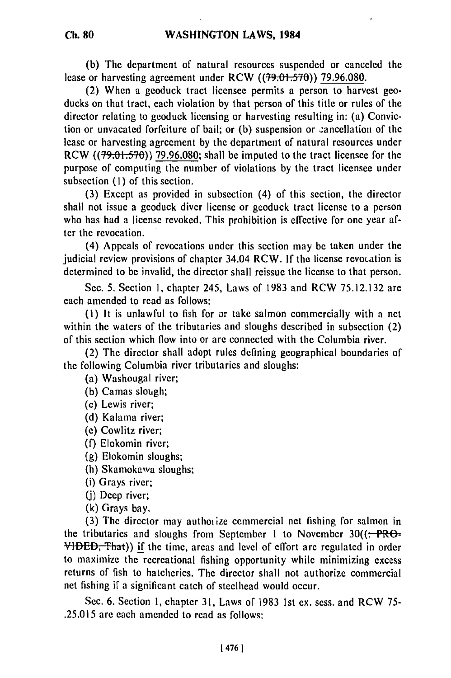**(b)** The department of natural resources suspended or canceled the lease or harvesting agreement under RCW **((?9.0i-.5-70)) 79.96.080.**

(2) When a geoduck tract licensee permits a person to harvest geoducks on that tract, each violation **by** that person of this title or rules of the director relating to geoduck licensing or harvesting resulting in: (a) Conviction or unvacated forfeiture of bail; or **(b)** suspension or ;ancellation of the lease or harvesting agreement **by** the department of natural resources under RCW **((79.01.570)) 79.96.080;** shall **be** imputed to the tract licensee for the purpose of computing the number of violations **by** the tract licensee under subsection **(1)** of this section.

**(3)** Except as provided in subsection (4) of this section, the director shall not issue a geoduck diver license or geoduck tract license to a person who has had a license revoked. This prohibition is effective for one year after the revocation.

(4) Appeals of revocations under this section may be taken under the judicial review provisions of chapter 34.04 RCW. **If** the license revocation is determined to be invalid, the director shall reissue the license to that person.

Sec. **5.** Section **1,** chapter 245, Laws of **1983** and RCW **75.12.132** are each amended to read as follows:

**(1)** It is unlawful to fish for or take salmon commercially with a net within the waters of the tributaries and sloughs described in subsection (2) of this section which flow into or are connected with the Columbia river.

(2) The director shall adopt rules defining geographical boundaries of the following Columbia river tributaries and sloughs:

(a) Washougal river;

**(b)** Camas slough;

(c) Lewis river;

**(d)** Kalama river;

**(e)** Cowlitz river;

**(f)** Elokomin river;

**(g)** Elokomin sloughs;

(h) Skamokawa sloughs;

(i) Grays river;

(j) Deep river;

(k) Grays bay.

(3) The director may authoiize commercial net fishing for salmon in the tributaries and sloughs from September 1 to November  $30((\div PR\Theta -$ **VIDED,** That)) **if** the time, areas and level of effort are regulated in order to maximize the recreational fishing opportunity while minimizing excess returns of fish to hatcheries. The director shall not authorize commercial net fishing if a significant catch of steelhead would occur.

Sec. **6.** Section **1,** chapter **31,** Laws of **1983 1st** ex. sess. and RCW **75- .25.015** are each amended to read as follows: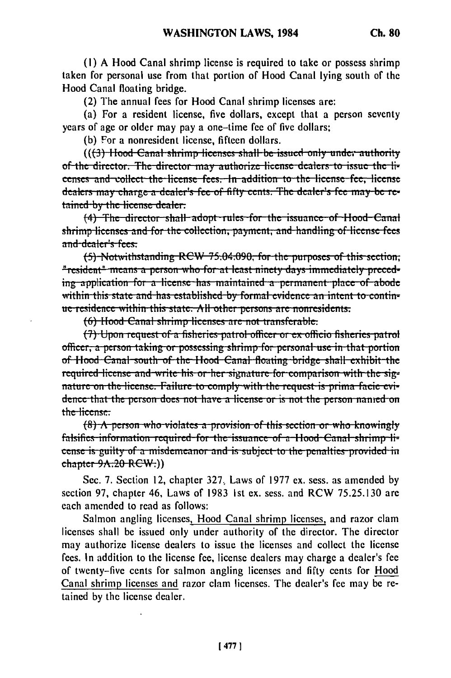(1) A Hood Canal shrimp license is required to take or possess shrimp taken for personal use from that portion of Hood Canal lying south of the Hood Canal floating bridge.

(2) The annual fees for Hood Canal shrimp licenses are:

(a) For a resident license, five dollars, except that a person seventy years of age or older may pay a one-time fee of five dollars;

(b) For a nonresident license, fifteen dollars.

((f3) Hood Canal shrimp licenses shall be issued only under authority of the director. The director may authorize license dealers to issue the licenses and collect the license fees. In addition to the license fee, license dealers may charge a dealer's fee of fifty cents. The dealer's fee may be retained by the license dealer.

(4) The director shall adopt rules for the issuance of Hood Canal shrimp-licenses and for the collection, payment, and handling of license fees and dealer's fees.

(5) Notwithstanding RCW 75.04.090, for the purposes of this section; "resident" means a person who for at least ninety days immediately preceding application for a license has maintained a permanent place of abode within this state and has established by formal evidence an intent to continue-residence within this state. All other persons are nonresidents.

(6) Hood Canal shrimp licenses are not transferable.

(7) Upon request of a fisheries patrol officer or ex officio fisheries patrol officer, a person taking or possessing shrimp for personal use in that portion of Hood Canal south of the Hood Canal floating bridge shall exhibit the required license and write his or her signature for comparison with the signature on the license. Failure to comply with the request is prima facie evidence that the person does not have a license or is not the person nanred on the license:

 $(8)$  A person who violates a provision of this section or who knowingly falsifies information required for the issuance of a Hood Canal shrimp license is guilty of a misdemeanor and is subject to the penalties provided in chapter 9A.20-RCW.))

Sec. 7. Section 12, chapter 327, Laws of 1977 ex. sess. as amended by section 97, chapter 46, Laws of 1983 1st ex. sess. and RCW 75.25.130 are each amended to read as follows:

Salmon angling licenses, Hood Canal shrimp licenses, and razor clam licenses shall be issued only under authority of the director. The director may authorize license dealers to issue the licenses and collect the license fees. In addition to the license fee, license dealers may charge a dealer's fee of twenty-five cents for salmon angling licenses and fifty cents for Hood Canal shrimp licenses and razor clam licenses. The dealer's fee may be retained by the license dealer.